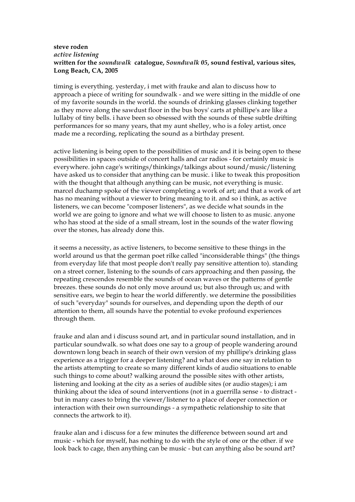## **steve roden** *active listening* **written for the** *soundwalk* **catalogue,** *Soundwalk 05***, sound festival, various sites, Long Beach, CA, 2005**

timing is everything. yesterday, i met with frauke and alan to discuss how to approach a piece of writing for soundwalk - and we were sitting in the middle of one of my favorite sounds in the world. the sounds of drinking glasses clinking together as they move along the sawdust floor in the bus boys' carts at phillipe's are like a lullaby of tiny bells. i have been so obsessed with the sounds of these subtle drifting performances for so many years, that my aunt shelley, who is a foley artist, once made me a recording, replicating the sound as a birthday present.

active listening is being open to the possibilities of music and it is being open to these possibilities in spaces outside of concert halls and car radios - for certainly music is everywhere. john cage's writings/thinkings/talkings about sound/music/listening have asked us to consider that anything can be music. i like to tweak this proposition with the thought that although anything can be music, not everything is music. marcel duchamp spoke of the viewer completing a work of art; and that a work of art has no meaning without a viewer to bring meaning to it. and so i think, as active listeners, we can become "composer listeners", as we decide what sounds in the world we are going to ignore and what we will choose to listen to as music. anyone who has stood at the side of a small stream, lost in the sounds of the water flowing over the stones, has already done this.

it seems a necessity, as active listeners, to become sensitive to these things in the world around us that the german poet rilke called "inconsiderable things" (the things from everyday life that most people don't really pay sensitive attention to). standing on a street corner, listening to the sounds of cars approaching and then passing, the repeating crescendos resemble the sounds of ocean waves or the patterns of gentle breezes. these sounds do not only move around us; but also through us; and with sensitive ears, we begin to hear the world differently. we determine the possibilities of such "everyday" sounds for ourselves, and depending upon the depth of our attention to them, all sounds have the potential to evoke profound experiences through them.

frauke and alan and i discuss sound art, and in particular sound installation, and in particular soundwalk. so what does one say to a group of people wandering around downtown long beach in search of their own version of my phillipe's drinking glass experience as a trigger for a deeper listening? and what does one say in relation to the artists attempting to create so many different kinds of audio situations to enable such things to come about? walking around the possible sites with other artists, listening and looking at the city as a series of audible sites (or audio stages); i am thinking about the idea of sound interventions (not in a guerrilla sense - to distract but in many cases to bring the viewer/listener to a place of deeper connection or interaction with their own surroundings - a sympathetic relationship to site that connects the artwork to it).

frauke alan and i discuss for a few minutes the difference between sound art and music - which for myself, has nothing to do with the style of one or the other. if we look back to cage, then anything can be music - but can anything also be sound art?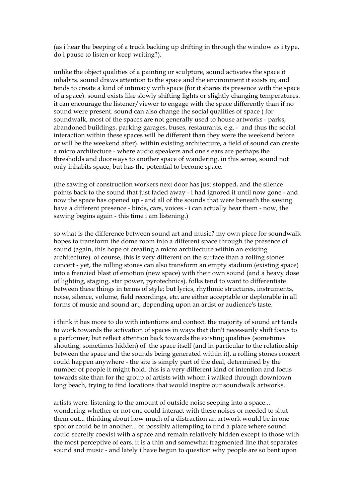(as i hear the beeping of a truck backing up drifting in through the window as i type, do i pause to listen or keep writing?).

unlike the object qualities of a painting or sculpture, sound activates the space it inhabits. sound draws attention to the space and the environment it exists in; and tends to create a kind of intimacy with space (for it shares its presence with the space of a space). sound exists like slowly shifting lights or slightly changing temperatures. it can encourage the listener/viewer to engage with the space differently than if no sound were present. sound can also change the social qualities of space ( for soundwalk, most of the spaces are not generally used to house artworks - parks, abandoned buildings, parking garages, buses, restaurants, e.g. - and thus the social interaction within these spaces will be different than they were the weekend before or will be the weekend after). within existing architecture, a field of sound can create a micro architecture - where audio speakers and one's ears are perhaps the thresholds and doorways to another space of wandering. in this sense, sound not only inhabits space, but has the potential to become space.

(the sawing of construction workers next door has just stopped, and the silence points back to the sound that just faded away - i had ignored it until now gone - and now the space has opened up - and all of the sounds that were beneath the sawing have a different presence - birds, cars, voices - i can actually hear them - now, the sawing begins again - this time i am listening.)

so what is the difference between sound art and music? my own piece for soundwalk hopes to transform the dome room into a different space through the presence of sound (again, this hope of creating a micro architecture within an existing architecture). of course, this is very different on the surface than a rolling stones concert - yet, the rolling stones can also transform an empty stadium (existing space) into a frenzied blast of emotion (new space) with their own sound (and a heavy dose of lighting, staging, star power, pyrotechnics). folks tend to want to differentiate between these things in terms of style; but lyrics, rhythmic structures, instruments, noise, silence, volume, field recordings, etc. are either acceptable or deplorable in all forms of music and sound art; depending upon an artist or audience's taste.

i think it has more to do with intentions and context. the majority of sound art tends to work towards the activation of spaces in ways that don't necessarily shift focus to a performer; but reflect attention back towards the existing qualities (sometimes shouting, sometimes hidden) of the space itself (and in particular to the relationship between the space and the sounds being generated within it). a rolling stones concert could happen anywhere - the site is simply part of the deal, determined by the number of people it might hold. this is a very different kind of intention and focus towards site than for the group of artists with whom i walked through downtown long beach, trying to find locations that would inspire our soundwalk artworks.

artists were: listening to the amount of outside noise seeping into a space... wondering whether or not one could interact with these noises or needed to shut them out... thinking about how much of a distraction an artwork would be in one spot or could be in another... or possibly attempting to find a place where sound could secretly coexist with a space and remain relatively hidden except to those with the most perceptive of ears. it is a thin and somewhat fragmented line that separates sound and music - and lately i have begun to question why people are so bent upon